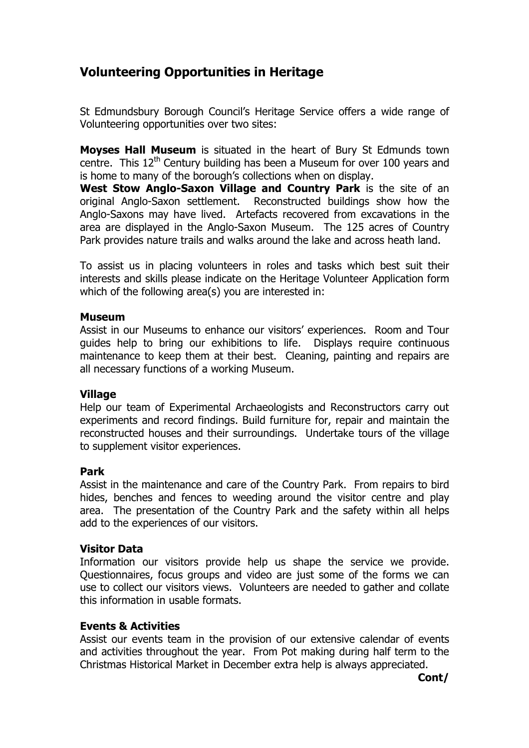# Volunteering Opportunities in Heritage

St Edmundsbury Borough Council's Heritage Service offers a wide range of Volunteering opportunities over two sites:

Moyses Hall Museum is situated in the heart of Bury St Edmunds town centre. This  $12<sup>th</sup>$  Century building has been a Museum for over 100 years and is home to many of the borough's collections when on display.

West Stow Anglo-Saxon Village and Country Park is the site of an original Anglo-Saxon settlement. Reconstructed buildings show how the Anglo-Saxons may have lived. Artefacts recovered from excavations in the area are displayed in the Anglo-Saxon Museum. The 125 acres of Country Park provides nature trails and walks around the lake and across heath land.

To assist us in placing volunteers in roles and tasks which best suit their interests and skills please indicate on the Heritage Volunteer Application form which of the following area(s) you are interested in:

#### Museum

Assist in our Museums to enhance our visitors' experiences. Room and Tour guides help to bring our exhibitions to life. Displays require continuous maintenance to keep them at their best. Cleaning, painting and repairs are all necessary functions of a working Museum.

#### **Village**

Help our team of Experimental Archaeologists and Reconstructors carry out experiments and record findings. Build furniture for, repair and maintain the reconstructed houses and their surroundings. Undertake tours of the village to supplement visitor experiences.

#### Park

Assist in the maintenance and care of the Country Park. From repairs to bird hides, benches and fences to weeding around the visitor centre and play area. The presentation of the Country Park and the safety within all helps add to the experiences of our visitors.

#### Visitor Data

Information our visitors provide help us shape the service we provide. Questionnaires, focus groups and video are just some of the forms we can use to collect our visitors views. Volunteers are needed to gather and collate this information in usable formats.

#### Events & Activities

Assist our events team in the provision of our extensive calendar of events and activities throughout the year. From Pot making during half term to the Christmas Historical Market in December extra help is always appreciated.